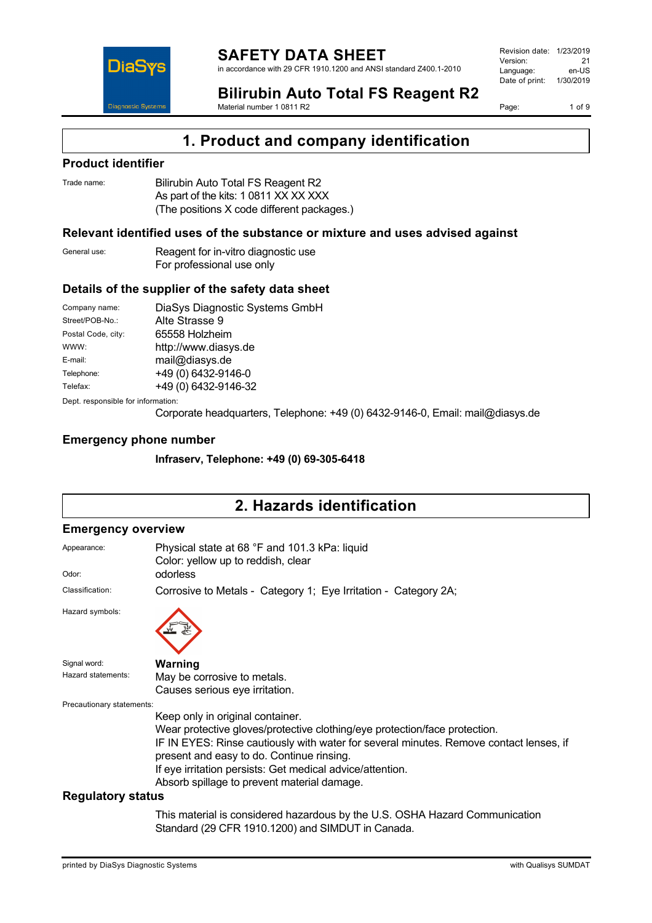

Revision date: 1/23/2019 Version: 21<br>Language: en-LIS Language: Date of print: 1/30/2019

**Bilirubin Auto Total FS Reagent R2** Material number 1 0811 R2

Page: 1 of 9

### **1. Product and company identification**

#### **Product identifier**

| Trade name: | Bilirubin Auto Total FS Reagent R2         |
|-------------|--------------------------------------------|
|             | As part of the kits: 1 0811 XX XX XXX      |
|             | (The positions X code different packages.) |

#### **Relevant identified uses of the substance or mixture and uses advised against**

| General use: | Reagent for in-vitro diagnostic use |
|--------------|-------------------------------------|
|              | For professional use only           |

#### **Details of the supplier of the safety data sheet**

| Company name:                      | DiaSys Diagnostic Systems GmbH |  |
|------------------------------------|--------------------------------|--|
| Street/POB-No.:                    | Alte Strasse 9                 |  |
| Postal Code, city:                 | 65558 Holzheim                 |  |
| WWW:                               | http://www.diasys.de           |  |
| E-mail:                            | mail@diasys.de                 |  |
| Telephone:                         | +49 (0) 6432-9146-0            |  |
| Telefax:                           | +49 (0) 6432-9146-32           |  |
| Dept. responsible for information: |                                |  |

Corporate headquarters, Telephone: +49 (0) 6432-9146-0, Email: mail@diasys.de

#### **Emergency phone number**

**Infraserv, Telephone: +49 (0) 69-305-6418**

## **2. Hazards identification**

#### **Emergency overview**

| Appearance:               | Physical state at 68 °F and 101.3 kPa: liquid<br>Color: yellow up to reddish, clear                                                                                                                                                                                                                                                                               |
|---------------------------|-------------------------------------------------------------------------------------------------------------------------------------------------------------------------------------------------------------------------------------------------------------------------------------------------------------------------------------------------------------------|
| Odor:                     | odorless                                                                                                                                                                                                                                                                                                                                                          |
| Classification:           | Corrosive to Metals - Category 1; Eye Irritation - Category 2A;                                                                                                                                                                                                                                                                                                   |
| Hazard symbols:           |                                                                                                                                                                                                                                                                                                                                                                   |
| Signal word:              | Warning                                                                                                                                                                                                                                                                                                                                                           |
| Hazard statements:        | May be corrosive to metals.                                                                                                                                                                                                                                                                                                                                       |
|                           | Causes serious eye irritation.                                                                                                                                                                                                                                                                                                                                    |
| Precautionary statements: |                                                                                                                                                                                                                                                                                                                                                                   |
|                           | Keep only in original container.<br>Wear protective gloves/protective clothing/eye protection/face protection.<br>IF IN EYES: Rinse cautiously with water for several minutes. Remove contact lenses, if<br>present and easy to do. Continue rinsing.<br>If eye irritation persists: Get medical advice/attention.<br>Absorb spillage to prevent material damage. |
| <b>Regulatory status</b>  |                                                                                                                                                                                                                                                                                                                                                                   |
|                           | This motivate is a considered because of the HD. OOHA Haceral Opens                                                                                                                                                                                                                                                                                               |

This material is considered hazardous by the U.S. OSHA Hazard Communication Standard (29 CFR 1910.1200) and SIMDUT in Canada.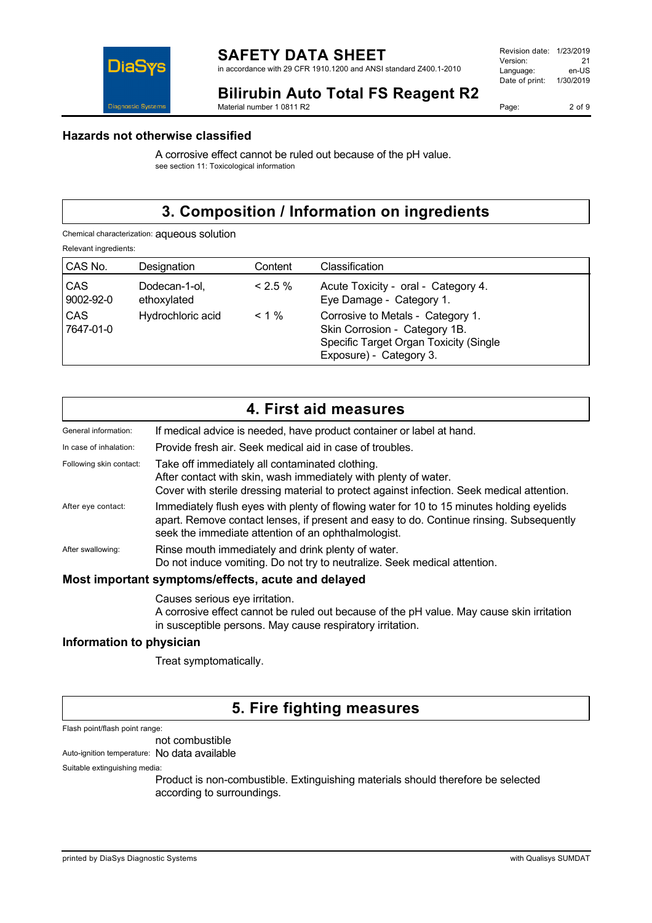

in accordance with 29 CFR 1910.1200 and ANSI standard Z400.1-2010

| 1/23/2019 |
|-----------|
| 21        |
| en-US     |
| 1/30/2019 |
|           |

**Bilirubin Auto Total FS Reagent R2**

Material number 1 0811 R2

Page: 2 of 9

#### **Hazards not otherwise classified**

A corrosive effect cannot be ruled out because of the pH value. see section 11: Toxicological information

# **3. Composition / Information on ingredients**

Chemical characterization: aqueous solution

Relevant ingredients:

| CAS No.                 | Designation                  | Content   | Classification                                                                                                                          |
|-------------------------|------------------------------|-----------|-----------------------------------------------------------------------------------------------------------------------------------------|
| <b>CAS</b><br>9002-92-0 | Dodecan-1-ol,<br>ethoxylated | $< 2.5\%$ | Acute Toxicity - oral - Category 4.<br>Eye Damage - Category 1.                                                                         |
| <b>CAS</b><br>7647-01-0 | Hydrochloric acid            | $< 1 \%$  | Corrosive to Metals - Category 1.<br>Skin Corrosion - Category 1B.<br>Specific Target Organ Toxicity (Single<br>Exposure) - Category 3. |

|                                                    | 4. First aid measures                                                                                                                                                                                                                      |  |
|----------------------------------------------------|--------------------------------------------------------------------------------------------------------------------------------------------------------------------------------------------------------------------------------------------|--|
| General information:                               | If medical advice is needed, have product container or label at hand.                                                                                                                                                                      |  |
| In case of inhalation:                             | Provide fresh air. Seek medical aid in case of troubles.                                                                                                                                                                                   |  |
| Following skin contact:                            | Take off immediately all contaminated clothing.<br>After contact with skin, wash immediately with plenty of water.<br>Cover with sterile dressing material to protect against infection. Seek medical attention.                           |  |
| After eye contact:                                 | Immediately flush eyes with plenty of flowing water for 10 to 15 minutes holding eyelids<br>apart. Remove contact lenses, if present and easy to do. Continue rinsing. Subsequently<br>seek the immediate attention of an ophthalmologist. |  |
| After swallowing:                                  | Rinse mouth immediately and drink plenty of water.<br>Do not induce vomiting. Do not try to neutralize. Seek medical attention.                                                                                                            |  |
| Most important symptoms/effects, acute and delayed |                                                                                                                                                                                                                                            |  |

Causes serious eye irritation. A corrosive effect cannot be ruled out because of the pH value. May cause skin irritation in susceptible persons. May cause respiratory irritation.

#### **Information to physician**

Treat symptomatically.

### **5. Fire fighting measures**

Flash point/flash point range:

not combustible

Auto-ignition temperature: No data available

Suitable extinguishing media:

Product is non-combustible. Extinguishing materials should therefore be selected according to surroundings.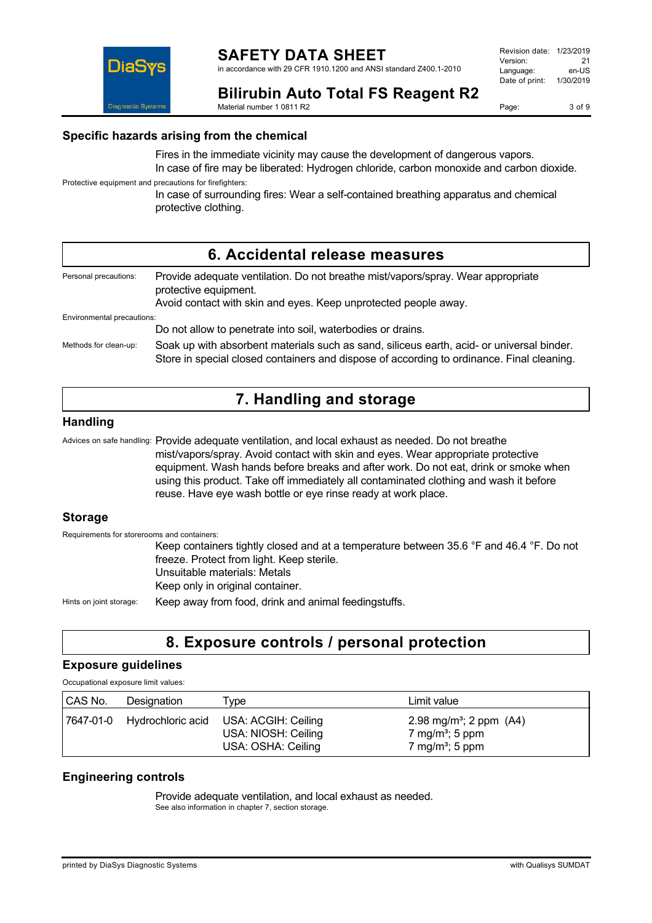

in accordance with 29 CFR 1910.1200 and ANSI standard Z400.1-2010

| Revision date: | 1/23/2019 |
|----------------|-----------|
| Version:       | 21        |
| Language:      | en-US     |
| Date of print: | 1/30/2019 |
|                |           |

DiaS

**Bilirubin Auto Total FS Reagent R2**

Material number 1 0811 R2

Page: 3 of 9

### **Specific hazards arising from the chemical**

Fires in the immediate vicinity may cause the development of dangerous vapors. In case of fire may be liberated: Hydrogen chloride, carbon monoxide and carbon dioxide.

Protective equipment and precautions for firefighters:

In case of surrounding fires: Wear a self-contained breathing apparatus and chemical protective clothing.

|                            | 6. Accidental release measures                                                                                                                                                         |
|----------------------------|----------------------------------------------------------------------------------------------------------------------------------------------------------------------------------------|
| Personal precautions:      | Provide adequate ventilation. Do not breathe mist/vapors/spray. Wear appropriate<br>protective equipment.<br>Avoid contact with skin and eyes. Keep unprotected people away.           |
| Environmental precautions: |                                                                                                                                                                                        |
|                            | Do not allow to penetrate into soil, waterbodies or drains.                                                                                                                            |
| Methods for clean-up:      | Soak up with absorbent materials such as sand, siliceus earth, acid- or universal binder.<br>Store in special closed containers and dispose of according to ordinance. Final cleaning. |

## **7. Handling and storage**

#### **Handling**

Advices on safe handling: Provide adequate ventilation, and local exhaust as needed. Do not breathe mist/vapors/spray. Avoid contact with skin and eyes. Wear appropriate protective equipment. Wash hands before breaks and after work. Do not eat, drink or smoke when using this product. Take off immediately all contaminated clothing and wash it before reuse. Have eye wash bottle or eye rinse ready at work place.

#### **Storage**

Requirements for storerooms and containers:

Keep containers tightly closed and at a temperature between 35.6 °F and 46.4 °F. Do not freeze. Protect from light. Keep sterile. Unsuitable materials: Metals Keep only in original container.

Hints on joint storage: Keep away from food, drink and animal feedingstuffs.

### **8. Exposure controls / personal protection**

#### **Exposure guidelines**

Occupational exposure limit values:

| CAS No. | Designation                 | Type                                                             | Limit value                                                                                         |
|---------|-----------------------------|------------------------------------------------------------------|-----------------------------------------------------------------------------------------------------|
|         | 7647-01-0 Hydrochloric acid | USA: ACGIH: Ceiling<br>USA: NIOSH: Ceiling<br>USA: OSHA: Ceiling | 2.98 mg/m <sup>3</sup> ; 2 ppm $(A4)$<br>7 mg/m <sup>3</sup> ; 5 ppm<br>7 mg/m <sup>3</sup> ; 5 ppm |

#### **Engineering controls**

Provide adequate ventilation, and local exhaust as needed. See also information in chapter 7, section storage.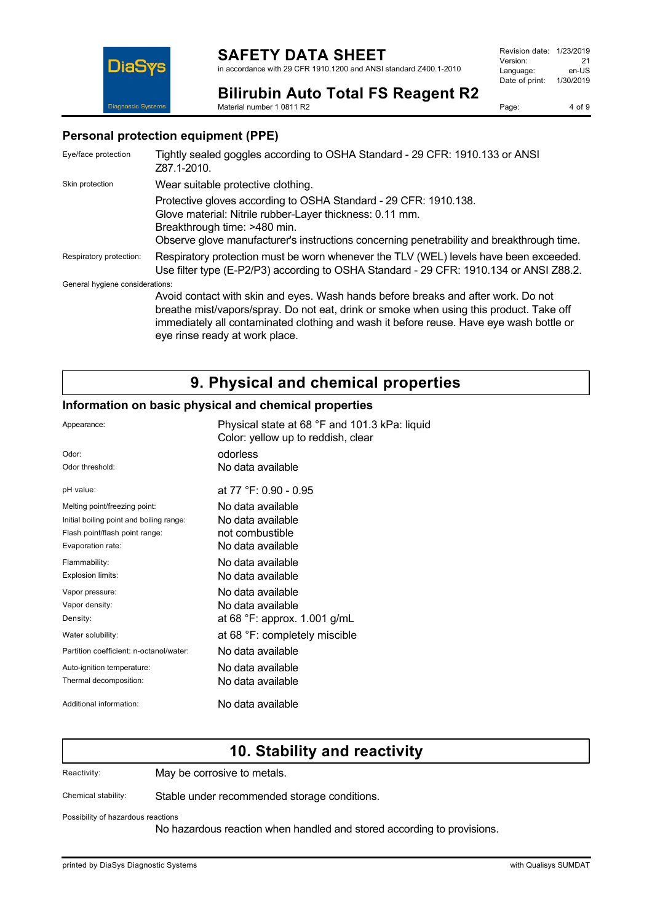in accordance with 29 CFR 1910.1200 and ANSI standard Z400.1-2010

Revision date: 1/23/2019 Version: 21<br>
Language: en-US Language: Date of print: 1/30/2019



**Bilirubin Auto Total FS Reagent R2** Material number 1 0811 R2

Page: 4 of 9

#### **Personal protection equipment (PPE)**

| Eye/face protection             | Tightly sealed goggles according to OSHA Standard - 29 CFR: 1910.133 or ANSI<br>Z87.1-2010.                                                                                                                                                                                                               |
|---------------------------------|-----------------------------------------------------------------------------------------------------------------------------------------------------------------------------------------------------------------------------------------------------------------------------------------------------------|
| Skin protection                 | Wear suitable protective clothing.                                                                                                                                                                                                                                                                        |
|                                 | Protective gloves according to OSHA Standard - 29 CFR: 1910.138.<br>Glove material: Nitrile rubber-Layer thickness: 0.11 mm.<br>Breakthrough time: >480 min.<br>Observe glove manufacturer's instructions concerning penetrability and breakthrough time.                                                 |
| Respiratory protection:         | Respiratory protection must be worn whenever the TLV (WEL) levels have been exceeded.<br>Use filter type (E-P2/P3) according to OSHA Standard - 29 CFR: 1910.134 or ANSI Z88.2.                                                                                                                           |
| General hygiene considerations: |                                                                                                                                                                                                                                                                                                           |
|                                 | Avoid contact with skin and eyes. Wash hands before breaks and after work. Do not<br>breathe mist/vapors/spray. Do not eat, drink or smoke when using this product. Take off<br>immediately all contaminated clothing and wash it before reuse. Have eye wash bottle or<br>eye rinse ready at work place. |

## **9. Physical and chemical properties**

#### **Information on basic physical and chemical properties**

| Appearance:                              | Physical state at 68 °F and 101.3 kPa: liquid<br>Color: yellow up to reddish, clear |
|------------------------------------------|-------------------------------------------------------------------------------------|
| Odor:                                    | odorless                                                                            |
| Odor threshold:                          | No data available                                                                   |
| pH value:                                | at 77 °F: 0.90 - 0.95                                                               |
| Melting point/freezing point:            | No data available                                                                   |
| Initial boiling point and boiling range: | No data available                                                                   |
| Flash point/flash point range:           | not combustible                                                                     |
| Evaporation rate:                        | No data available                                                                   |
| Flammability:                            | No data available                                                                   |
| Explosion limits:                        | No data available                                                                   |
| Vapor pressure:                          | No data available                                                                   |
| Vapor density:                           | No data available                                                                   |
| Density:                                 | at 68 °F: approx. 1.001 g/mL                                                        |
| Water solubility:                        | at 68 °F: completely miscible                                                       |
| Partition coefficient: n-octanol/water:  | No data available                                                                   |
| Auto-ignition temperature:               | No data available                                                                   |
| Thermal decomposition:                   | No data available                                                                   |
| Additional information:                  | No data available                                                                   |

### **10. Stability and reactivity**

Reactivity: May be corrosive to metals.

Chemical stability: Stable under recommended storage conditions.

Possibility of hazardous reactions

No hazardous reaction when handled and stored according to provisions.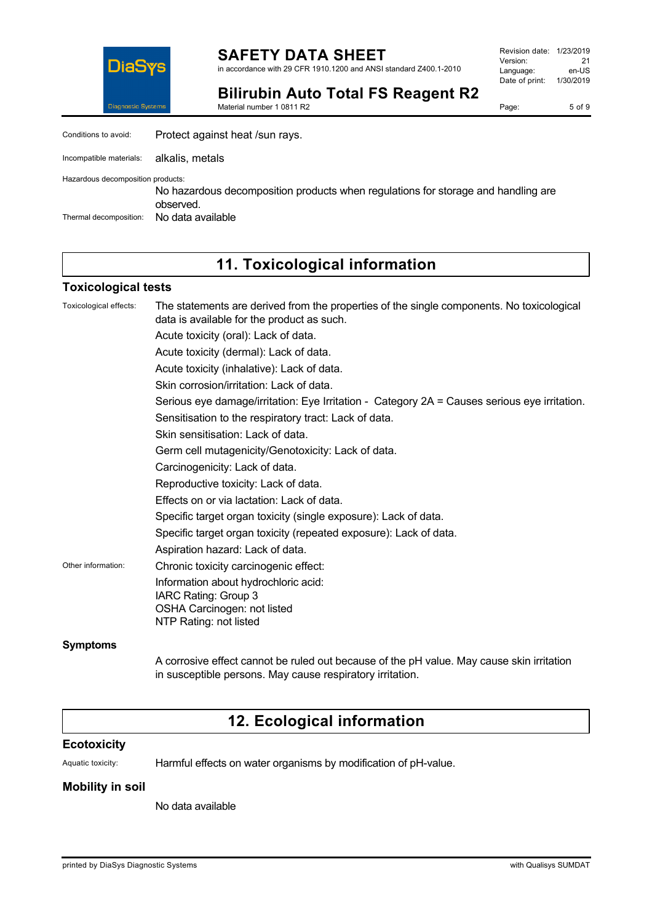

**SAFETY DATA SHEET** in accordance with 29 CFR 1910.1200 and ANSI standard Z400.1-2010 Revision date: 1/23/2019 Version: 21<br>
Language: en-US Language: Date of print: 1/30/2019

**Bilirubin Auto Total FS Reagent R2** Material number 1 0811 R2

Page: 5 of 9

| Conditions to avoid:              | Protect against heat /sun rays.                                                                |
|-----------------------------------|------------------------------------------------------------------------------------------------|
| Incompatible materials:           | alkalis. metals                                                                                |
| Hazardous decomposition products: | No hazardous decomposition products when regulations for storage and handling are<br>observed. |
| Thermal decomposition:            | No data available                                                                              |

## **11. Toxicological information**

#### **Toxicological tests**

| Toxicological effects: | The statements are derived from the properties of the single components. No toxicological<br>data is available for the product as such. |
|------------------------|-----------------------------------------------------------------------------------------------------------------------------------------|
|                        | Acute toxicity (oral): Lack of data.                                                                                                    |
|                        | Acute toxicity (dermal): Lack of data.                                                                                                  |
|                        | Acute toxicity (inhalative): Lack of data.                                                                                              |
|                        | Skin corrosion/irritation: Lack of data.                                                                                                |
|                        | Serious eye damage/irritation: Eye Irritation - Category 2A = Causes serious eye irritation.                                            |
|                        | Sensitisation to the respiratory tract: Lack of data.                                                                                   |
|                        | Skin sensitisation: Lack of data.                                                                                                       |
|                        | Germ cell mutagenicity/Genotoxicity: Lack of data.                                                                                      |
|                        | Carcinogenicity: Lack of data.                                                                                                          |
|                        | Reproductive toxicity: Lack of data.                                                                                                    |
|                        | Effects on or via lactation: Lack of data.                                                                                              |
|                        | Specific target organ toxicity (single exposure): Lack of data.                                                                         |
|                        | Specific target organ toxicity (repeated exposure): Lack of data.                                                                       |
|                        | Aspiration hazard: Lack of data.                                                                                                        |
| Other information:     | Chronic toxicity carcinogenic effect:                                                                                                   |
|                        | Information about hydrochloric acid:<br>IARC Rating: Group 3<br>OSHA Carcinogen: not listed                                             |
| <b>Symptoms</b>        | NTP Rating: not listed                                                                                                                  |

A corrosive effect cannot be ruled out because of the pH value. May cause skin irritation in susceptible persons. May cause respiratory irritation.

# **12. Ecological information**

#### **Ecotoxicity**

Aquatic toxicity: Harmful effects on water organisms by modification of pH-value.

#### **Mobility in soil**

No data available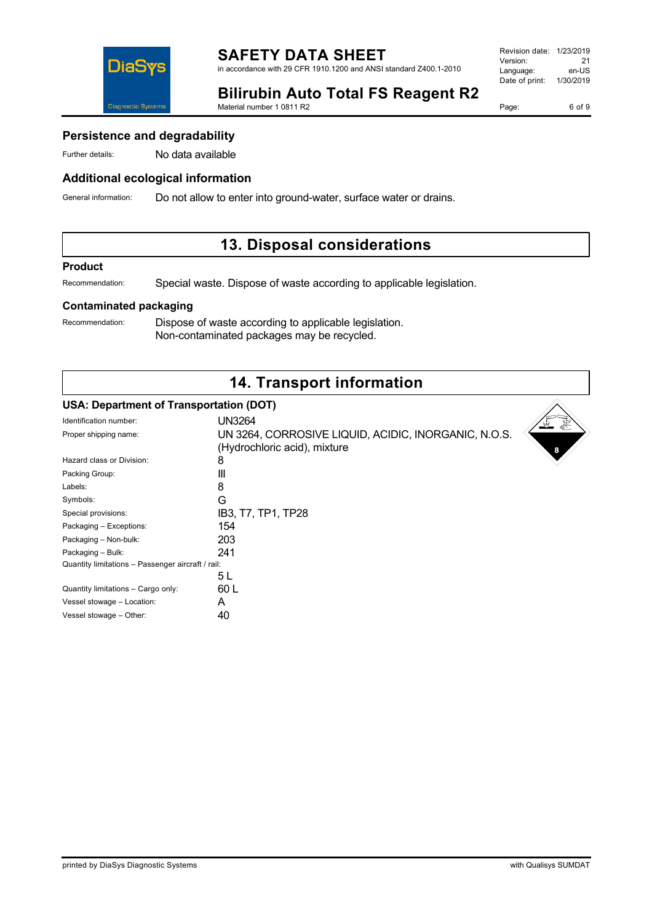

**SAFETY DATA SHEET** in accordance with 29 CFR 1910.1200 and ANSI standard Z400.1-2010

| Revision date:<br>1/23/2019 |
|-----------------------------|
| 21                          |
| en-US                       |
| 1/30/2019                   |
|                             |

**Bilirubin Auto Total FS Reagent R2**

Material number 1 0811 R2

Page: 6 of 9

### **Persistence and degradability**

Further details: No data available

### **Additional ecological information**

General information: Do not allow to enter into ground-water, surface water or drains.

## **13. Disposal considerations**

#### **Product**

Recommendation: Special waste. Dispose of waste according to applicable legislation.

#### **Contaminated packaging**

Recommendation: Dispose of waste according to applicable legislation. Non-contaminated packages may be recycled.

# **14. Transport information**

#### **USA: Department of Transportation (DOT)**

| Identification number:                            | UN3264                                               |
|---------------------------------------------------|------------------------------------------------------|
| Proper shipping name:                             | UN 3264, CORROSIVE LIQUID, ACIDIC, INORGANIC, N.O.S. |
|                                                   | (Hydrochloric acid), mixture                         |
| Hazard class or Division:                         | 8                                                    |
| Packing Group:                                    | Ш                                                    |
| Labels:                                           | 8                                                    |
| Symbols:                                          | G                                                    |
| Special provisions:                               | IB3, T7, TP1, TP28                                   |
| Packaging - Exceptions:                           | 154                                                  |
| Packaging - Non-bulk:                             | 203                                                  |
| Packaging - Bulk:                                 | 241                                                  |
| Quantity limitations - Passenger aircraft / rail: |                                                      |
|                                                   | 5 L                                                  |
| Quantity limitations - Cargo only:                | 60 L                                                 |
| Vessel stowage - Location:                        | A                                                    |
| Vessel stowage - Other:                           | 40                                                   |
|                                                   |                                                      |

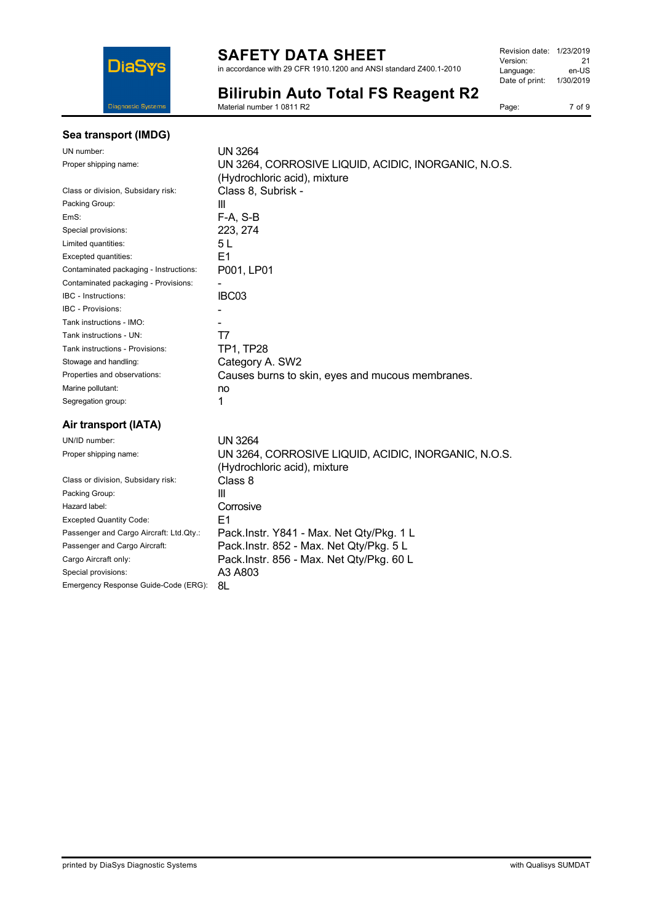

in accordance with 29 CFR 1910.1200 and ANSI standard Z400.1-2010

| Revision date: | 1/23/2019 |
|----------------|-----------|
| Version:       | 21        |
| Language:      | en-US     |
| Date of print: | 1/30/2019 |
|                |           |

**Bilirubin Auto Total FS Reagent R2**

Material number 1 0811 R2

#### Page: 7 of 9

| Sea transport (IMDG) |  |
|----------------------|--|
|----------------------|--|

| UN number:                             | UN 3264                                                                              |
|----------------------------------------|--------------------------------------------------------------------------------------|
| Proper shipping name:                  | UN 3264, CORROSIVE LIQUID, ACIDIC, INORGANIC, N.O.S.                                 |
|                                        | (Hydrochloric acid), mixture                                                         |
| Class or division, Subsidary risk:     | Class 8, Subrisk -                                                                   |
| Packing Group:                         | Ш                                                                                    |
| EmS:                                   | F-A, S-B                                                                             |
| Special provisions:                    | 223, 274                                                                             |
| Limited quantities:                    | 5 L                                                                                  |
| Excepted quantities:                   | E1                                                                                   |
| Contaminated packaging - Instructions: | P001, LP01                                                                           |
| Contaminated packaging - Provisions:   |                                                                                      |
| <b>IBC</b> - Instructions:             | IBC03                                                                                |
| <b>IBC - Provisions:</b>               |                                                                                      |
| Tank instructions - IMO:               |                                                                                      |
| Tank instructions - UN:                | Τ7                                                                                   |
| Tank instructions - Provisions:        | TP1, TP28                                                                            |
| Stowage and handling:                  | Category A. SW2                                                                      |
| Properties and observations:           | Causes burns to skin, eyes and mucous membranes.                                     |
| Marine pollutant:                      | no                                                                                   |
| Segregation group:                     | 1                                                                                    |
| Air transport (IATA)                   |                                                                                      |
| UN/ID number:                          | <b>UN 3264</b>                                                                       |
| Proper shipping name:                  | UN 3264, CORROSIVE LIQUID, ACIDIC, INORGANIC, N.O.S.<br>(Hydrochloric acid), mixture |
| Close or division Cubeidary riok       | Closs <sub>0</sub>                                                                   |

|                                         | (Hydrochloric acid), mixture             |
|-----------------------------------------|------------------------------------------|
| Class or division, Subsidary risk:      | Class 8                                  |
| Packing Group:                          | Ш                                        |
| Hazard label:                           | Corrosive                                |
| <b>Excepted Quantity Code:</b>          | F1                                       |
| Passenger and Cargo Aircraft: Ltd.Qty.: | Pack.Instr. Y841 - Max. Net Qty/Pkg. 1 L |
| Passenger and Cargo Aircraft:           | Pack.Instr. 852 - Max. Net Qty/Pkg. 5 L  |
| Cargo Aircraft only:                    | Pack.Instr. 856 - Max. Net Qty/Pkg. 60 L |
| Special provisions:                     | A3 A803                                  |
| Emergency Response Guide-Code (ERG):    | 8L                                       |
|                                         |                                          |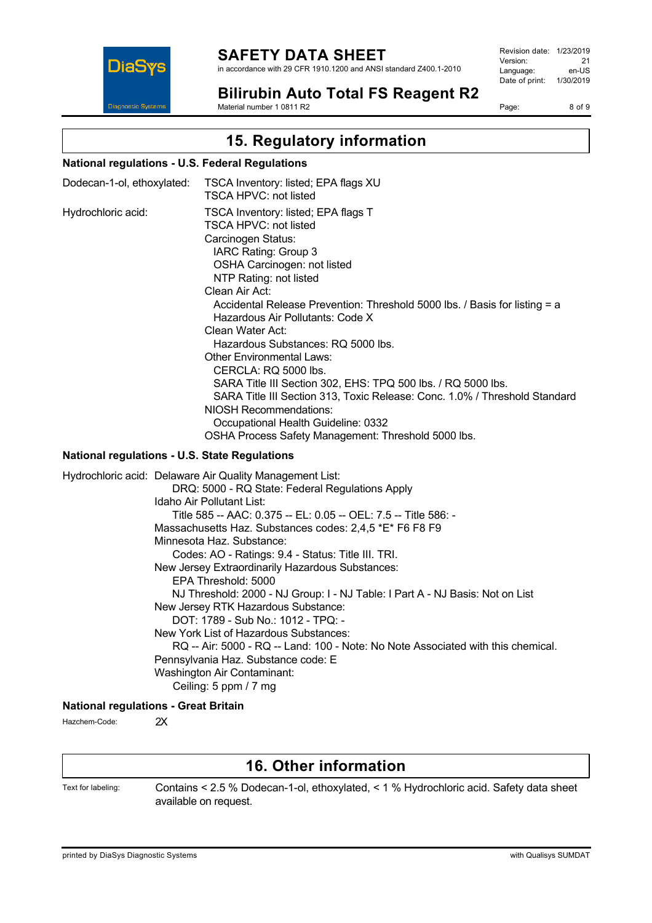

in accordance with 29 CFR 1910.1200 and ANSI standard Z400.1-2010

Revision date: 1/23/2019 Version: 21<br>
Language: en-US Language: Date of print: 1/30/2019

**Bilirubin Auto Total FS Reagent R2**

Page: 8 of 9

### Material number 1 0811 R2

# **15. Regulatory information**

#### **National regulations - U.S. Federal Regulations**

| Dodecan-1-ol, ethoxylated: | TSCA Inventory: listed; EPA flags XU<br>TSCA HPVC: not listed                                                                                                                                                                                                                                                                                                                                                                                                                                                                                                                                                                                                                                              |
|----------------------------|------------------------------------------------------------------------------------------------------------------------------------------------------------------------------------------------------------------------------------------------------------------------------------------------------------------------------------------------------------------------------------------------------------------------------------------------------------------------------------------------------------------------------------------------------------------------------------------------------------------------------------------------------------------------------------------------------------|
| Hydrochloric acid:         | TSCA Inventory: listed; EPA flags T<br>TSCA HPVC: not listed<br>Carcinogen Status:<br>IARC Rating: Group 3<br>OSHA Carcinogen: not listed<br>NTP Rating: not listed<br>Clean Air Act:<br>Accidental Release Prevention: Threshold 5000 lbs. / Basis for listing = a<br>Hazardous Air Pollutants: Code X<br>Clean Water Act:<br>Hazardous Substances: RQ 5000 lbs.<br><b>Other Environmental Laws:</b><br>CERCLA: RQ 5000 lbs.<br>SARA Title III Section 302, EHS: TPQ 500 lbs. / RQ 5000 lbs.<br>SARA Title III Section 313, Toxic Release: Conc. 1.0% / Threshold Standard<br><b>NIOSH Recommendations:</b><br>Occupational Health Guideline: 0332<br>OSHA Process Safety Management: Threshold 5000 lbs. |
|                            |                                                                                                                                                                                                                                                                                                                                                                                                                                                                                                                                                                                                                                                                                                            |

#### **National regulations - U.S. State Regulations**

| Hydrochloric acid: Delaware Air Quality Management List:                         |
|----------------------------------------------------------------------------------|
| DRQ: 5000 - RQ State: Federal Regulations Apply                                  |
| Idaho Air Pollutant List:                                                        |
| Title 585 -- AAC: 0.375 -- EL: 0.05 -- OEL: 7.5 -- Title 586: -                  |
| Massachusetts Haz. Substances codes: 2,4,5 *E* F6 F8 F9                          |
| Minnesota Haz, Substance:                                                        |
| Codes: AO - Ratings: 9.4 - Status: Title III. TRI.                               |
| New Jersey Extraordinarily Hazardous Substances:                                 |
| EPA Threshold: 5000                                                              |
| NJ Threshold: 2000 - NJ Group: I - NJ Table: I Part A - NJ Basis: Not on List    |
| New Jersey RTK Hazardous Substance:                                              |
| DOT: 1789 - Sub No.: 1012 - TPQ: -                                               |
| New York List of Hazardous Substances:                                           |
| RQ -- Air: 5000 - RQ -- Land: 100 - Note: No Note Associated with this chemical. |
| Pennsylvania Haz. Substance code: E                                              |
| Washington Air Contaminant:                                                      |
| Ceiling: 5 ppm / 7 mg                                                            |
|                                                                                  |

### **National regulations - Great Britain**

Hazchem-Code: 2X

### **16. Other information**

Text for labeling: Contains < 2.5 % Dodecan-1-ol, ethoxylated, < 1 % Hydrochloric acid. Safety data sheet available on request.